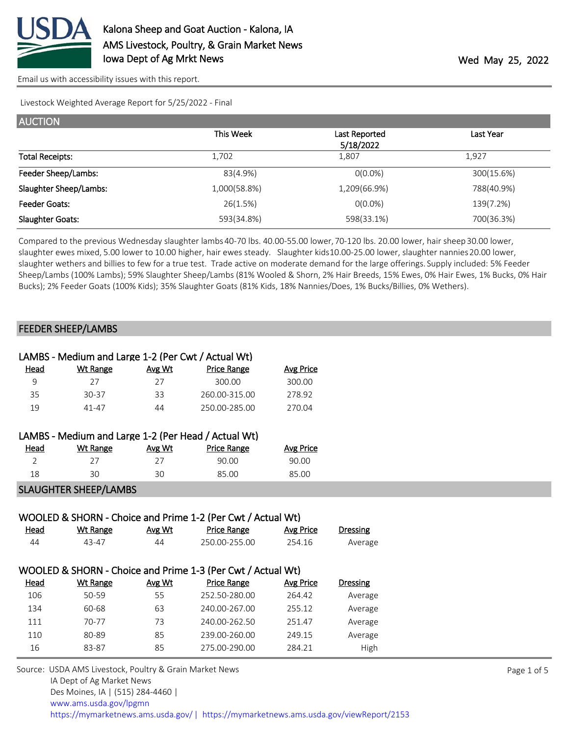

Livestock Weighted Average Report for 5/25/2022 - Final

| <b>AUCTION</b>          |              |                            |            |
|-------------------------|--------------|----------------------------|------------|
|                         | This Week    | Last Reported<br>5/18/2022 | Last Year  |
| <b>Total Receipts:</b>  | 1,702        | 1,807                      | 1,927      |
| Feeder Sheep/Lambs:     | 83(4.9%)     | $O(0.0\%)$                 | 300(15.6%) |
| Slaughter Sheep/Lambs:  | 1,000(58.8%) | 1,209(66.9%)               | 788(40.9%) |
| Feeder Goats:           | 26(1.5%)     | $O(0.0\%)$                 | 139(7.2%)  |
| <b>Slaughter Goats:</b> | 593(34.8%)   | 598(33.1%)                 | 700(36.3%) |

Compared to the previous Wednesday slaughter lambs 40-70 lbs. 40.00-55.00 lower, 70-120 lbs. 20.00 lower, hair sheep 30.00 lower, slaughter ewes mixed, 5.00 lower to 10.00 higher, hair ewes steady. Slaughter kids 10.00-25.00 lower, slaughter nannies 20.00 lower, slaughter wethers and billies to few for a true test. Trade active on moderate demand for the large offerings. Supply included: 5% Feeder Sheep/Lambs (100% Lambs); 59% Slaughter Sheep/Lambs (81% Wooled & Shorn, 2% Hair Breeds, 15% Ewes, 0% Hair Ewes, 1% Bucks, 0% Hair Bucks); 2% Feeder Goats (100% Kids); 35% Slaughter Goats (81% Kids, 18% Nannies/Does, 1% Bucks/Billies, 0% Wethers).

## FEEDER SHEEP/LAMBS

|      | LAMBS - Medium and Large 1-2 (Per Cwt / Actual Wt) |        |                    |           |
|------|----------------------------------------------------|--------|--------------------|-----------|
| Head | Wt Range                                           | Avg Wt | <b>Price Range</b> | Avg Price |
| 9    | 27                                                 | 27     | 300.00             | 300.00    |
| 35   | 30-37                                              | 33     | 260.00-315.00      | 278.92    |
| 19   | 41-47                                              | 44     | 250.00-285.00      | 270.04    |
|      |                                                    |        |                    |           |

| LAMBS - Medium and Large 1-2 (Per Head / Actual Wt) |          |        |                    |           |
|-----------------------------------------------------|----------|--------|--------------------|-----------|
| Head                                                | Wt Range | Avg Wt | <b>Price Range</b> | Avg Price |
| 7                                                   | フフ       | フフ     | 90.00              | 90.00     |
| 18                                                  | 30       | 30     | 85.00              | 85.00     |
|                                                     |          |        |                    |           |

SLAUGHTER SHEEP/LAMBS

| WOOLED & SHORN - Choice and Prime 1-2 (Per Cwt / Actual Wt) |                 |        |                                                             |                  |                 |  |  |  |
|-------------------------------------------------------------|-----------------|--------|-------------------------------------------------------------|------------------|-----------------|--|--|--|
| <u>Head</u>                                                 | Wt Range        | Avg Wt | <b>Price Range</b>                                          | Avg Price        | <b>Dressing</b> |  |  |  |
| 44                                                          | 43-47           | 44     | 250.00-255.00                                               | 254.16           | Average         |  |  |  |
|                                                             |                 |        |                                                             |                  |                 |  |  |  |
|                                                             |                 |        | WOOLED & SHORN - Choice and Prime 1-3 (Per Cwt / Actual Wt) |                  |                 |  |  |  |
| <b>Head</b>                                                 | <b>Wt Range</b> | Avg Wt | <b>Price Range</b>                                          | <b>Avg Price</b> | <b>Dressing</b> |  |  |  |
| 106                                                         | 50-59           | 55     | 252.50-280.00                                               | 264.42           | Average         |  |  |  |
| 134                                                         | 60-68           | 63     | 240.00-267.00                                               | 255.12           | Average         |  |  |  |
| 111                                                         | 70-77           | 73     | 240.00-262.50                                               | 251.47           | Average         |  |  |  |
| 110                                                         | 80-89           | 85     | 239.00-260.00                                               | 249.15           | Average         |  |  |  |
| 16                                                          | 83-87           | 85     | 275.00-290.00                                               | 284.21           | High            |  |  |  |

Source: USDA AMS Livestock, Poultry & Grain Market News IA Dept of Ag Market News Des Moines, IA | (515) 284-4460 | [www.ams.usda.gov/lpgmn](https://www.ams.usda.gov/market-news) <https://mymarketnews.ams.usda.gov/> [|](https://www.ams.usda.gov/market-news) <https://mymarketnews.ams.usda.gov/viewReport/2153>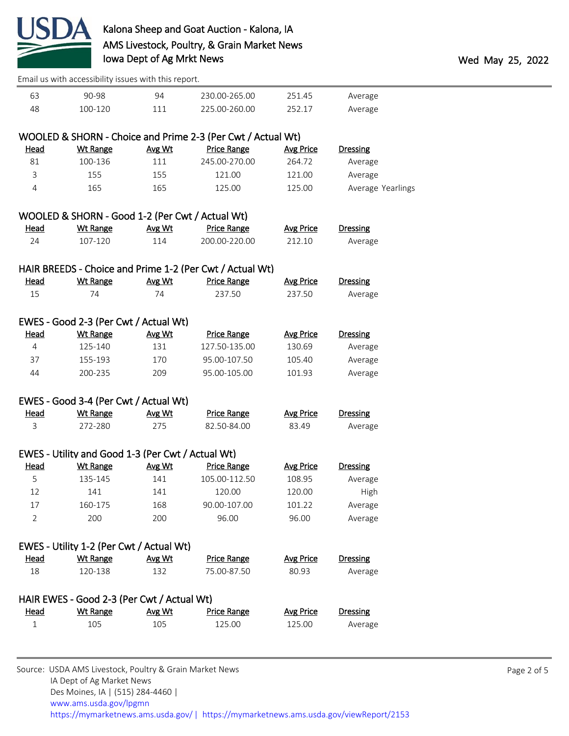

|                | Email us with accessibility issues with this report. |        |                                                             |                  |                   |  |
|----------------|------------------------------------------------------|--------|-------------------------------------------------------------|------------------|-------------------|--|
| 63             | 90-98                                                | 94     | 230.00-265.00                                               | 251.45           | Average           |  |
| 48             | 100-120                                              | 111    | 225.00-260.00                                               | 252.17           | Average           |  |
|                |                                                      |        |                                                             |                  |                   |  |
|                |                                                      |        | WOOLED & SHORN - Choice and Prime 2-3 (Per Cwt / Actual Wt) |                  |                   |  |
| <u>Head</u>    | <b>Wt Range</b>                                      | Avg Wt | <b>Price Range</b>                                          | <b>Avg Price</b> | <b>Dressing</b>   |  |
| 81             | 100-136                                              | 111    | 245.00-270.00                                               | 264.72           | Average           |  |
| 3              | 155                                                  | 155    | 121.00                                                      | 121.00           | Average           |  |
| 4              | 165                                                  | 165    | 125.00                                                      | 125.00           | Average Yearlings |  |
|                | WOOLED & SHORN - Good 1-2 (Per Cwt / Actual Wt)      |        |                                                             |                  |                   |  |
| <u>Head</u>    | <b>Wt Range</b>                                      | Avg Wt | <b>Price Range</b>                                          | <b>Avg Price</b> | <b>Dressing</b>   |  |
| 24             | 107-120                                              | 114    | 200.00-220.00                                               | 212.10           | Average           |  |
|                |                                                      |        |                                                             |                  |                   |  |
|                |                                                      |        | HAIR BREEDS - Choice and Prime 1-2 (Per Cwt / Actual Wt)    |                  |                   |  |
| <b>Head</b>    | <b>Wt Range</b>                                      | Avg Wt | <b>Price Range</b>                                          | <b>Avg Price</b> | <b>Dressing</b>   |  |
| 15             | 74                                                   | 74     | 237.50                                                      | 237.50           | Average           |  |
|                | EWES - Good 2-3 (Per Cwt / Actual Wt)                |        |                                                             |                  |                   |  |
| Head           | <b>Wt Range</b>                                      | Avg Wt | <b>Price Range</b>                                          | <b>Avg Price</b> | <b>Dressing</b>   |  |
| 4              | 125-140                                              | 131    | 127.50-135.00                                               | 130.69           | Average           |  |
| 37             | 155-193                                              | 170    | 95.00-107.50                                                | 105.40           | Average           |  |
| 44             | 200-235                                              | 209    | 95.00-105.00                                                | 101.93           | Average           |  |
|                |                                                      |        |                                                             |                  |                   |  |
|                | EWES - Good 3-4 (Per Cwt / Actual Wt)                |        |                                                             |                  |                   |  |
| Head           | <b>Wt Range</b>                                      | Avg Wt | <b>Price Range</b>                                          | <b>Avg Price</b> | <b>Dressing</b>   |  |
| 3              | 272-280                                              | 275    | 82.50-84.00                                                 | 83.49            | Average           |  |
|                |                                                      |        |                                                             |                  |                   |  |
|                | EWES - Utility and Good 1-3 (Per Cwt / Actual Wt)    |        |                                                             |                  |                   |  |
| <b>Head</b>    | <b>Wt Range</b>                                      | Avg Wt | <b>Price Range</b>                                          | <b>Avg Price</b> | Dressing          |  |
| 5              | 135-145                                              | 141    | 105.00-112.50                                               | 108.95           | Average           |  |
| 12             | 141                                                  | 141    | 120.00                                                      | 120.00           | High              |  |
| 17             | 160-175                                              | 168    | 90.00-107.00                                                | 101.22           | Average           |  |
| $\overline{2}$ | 200                                                  | 200    | 96.00                                                       | 96.00            | Average           |  |
|                | EWES - Utility 1-2 (Per Cwt / Actual Wt)             |        |                                                             |                  |                   |  |
| <b>Head</b>    | <b>Wt Range</b>                                      | Avg Wt | <b>Price Range</b>                                          | <b>Avg Price</b> | <b>Dressing</b>   |  |
| 18             | 120-138                                              | 132    | 75.00-87.50                                                 | 80.93            | Average           |  |
|                |                                                      |        |                                                             |                  |                   |  |
|                | HAIR EWES - Good 2-3 (Per Cwt / Actual Wt)           |        |                                                             |                  |                   |  |
| <b>Head</b>    | <b>Wt Range</b>                                      | Avg Wt | <b>Price Range</b>                                          | <b>Avg Price</b> | <b>Dressing</b>   |  |
| $\mathbf{1}$   | 105                                                  | 105    | 125.00                                                      | 125.00           | Average           |  |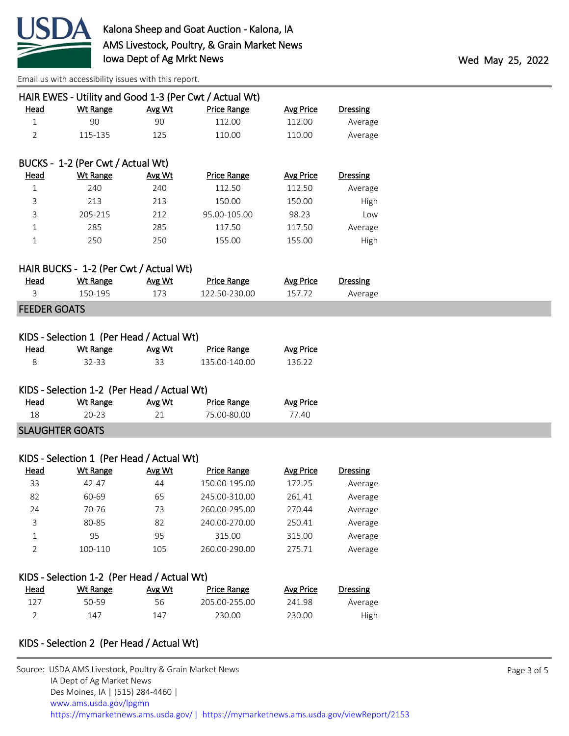

|                        |                                             |        | HAIR EWES - Utility and Good 1-3 (Per Cwt / Actual Wt) |                  |                 |
|------------------------|---------------------------------------------|--------|--------------------------------------------------------|------------------|-----------------|
| <b>Head</b>            | <b>Wt Range</b>                             | Avg Wt | <b>Price Range</b>                                     | <b>Avg Price</b> | <b>Dressing</b> |
| $\mathbf{1}$           | 90                                          | 90     | 112.00                                                 | 112.00           | Average         |
| $\overline{2}$         | 115-135                                     | 125    | 110.00                                                 | 110.00           | Average         |
|                        | BUCKS - 1-2 (Per Cwt / Actual Wt)           |        |                                                        |                  |                 |
| <u>Head</u>            | <b>Wt Range</b>                             | Avg Wt | <b>Price Range</b>                                     | <b>Avg Price</b> | <b>Dressing</b> |
| $\mathbf 1$            | 240                                         | 240    | 112.50                                                 | 112.50           | Average         |
| 3                      | 213                                         | 213    | 150.00                                                 | 150.00           | High            |
| 3                      | 205-215                                     | 212    | 95.00-105.00                                           | 98.23            | Low             |
| $\mathbf 1$            | 285                                         | 285    | 117.50                                                 | 117.50           | Average         |
| $1\,$                  | 250                                         | 250    | 155.00                                                 | 155.00           | High            |
|                        | HAIR BUCKS - 1-2 (Per Cwt / Actual Wt)      |        |                                                        |                  |                 |
| <u>Head</u>            | <b>Wt Range</b>                             | Avg Wt | <b>Price Range</b>                                     | <b>Avg Price</b> | <b>Dressing</b> |
| 3                      | 150-195                                     | 173    | 122.50-230.00                                          | 157.72           | Average         |
| <b>FEEDER GOATS</b>    |                                             |        |                                                        |                  |                 |
|                        |                                             |        |                                                        |                  |                 |
|                        | KIDS - Selection 1 (Per Head / Actual Wt)   |        |                                                        |                  |                 |
| <b>Head</b>            | <b>Wt Range</b>                             | Avg Wt | <b>Price Range</b>                                     | <b>Avg Price</b> |                 |
| 8                      | 32-33                                       | 33     | 135.00-140.00                                          | 136.22           |                 |
|                        |                                             |        |                                                        |                  |                 |
|                        | KIDS - Selection 1-2 (Per Head / Actual Wt) |        |                                                        |                  |                 |
| <b>Head</b>            | <b>Wt Range</b>                             | Avg Wt | <b>Price Range</b>                                     | <b>Avg Price</b> |                 |
| 18                     | $20 - 23$                                   | 21     | 75.00-80.00                                            | 77.40            |                 |
| <b>SLAUGHTER GOATS</b> |                                             |        |                                                        |                  |                 |
|                        |                                             |        |                                                        |                  |                 |
|                        | KIDS - Selection 1 (Per Head / Actual Wt)   |        |                                                        |                  |                 |
| <b>Head</b>            | <b>Wt Range</b>                             | Avg Wt | <b>Price Range</b>                                     | <b>Avg Price</b> | <b>Dressing</b> |
| 33                     | 42-47                                       | 44     | 150.00-195.00                                          | 172.25           | Average         |
| 82                     | 60-69                                       | 65     | 245.00-310.00                                          | 261.41           | Average         |
| 24                     | 70-76                                       | 73     | 260.00-295.00                                          | 270.44           | Average         |
| 3                      | 80-85                                       | 82     | 240.00-270.00                                          | 250.41           | Average         |
| 1                      | 95                                          | 95     | 315.00                                                 | 315.00           | Average         |
| 2                      | 100-110                                     | 105    | 260.00-290.00                                          | 275.71           | Average         |
|                        |                                             |        |                                                        |                  |                 |
|                        | KIDS - Selection 1-2 (Per Head / Actual Wt) |        |                                                        |                  |                 |
| <b>Head</b>            | <b>Wt Range</b>                             | Avg Wt | <b>Price Range</b>                                     | <b>Avg Price</b> | <b>Dressing</b> |
| 127                    | 50-59                                       | 56     | 205.00-255.00                                          | 241.98           | Average         |
| 2                      | 147                                         | 147    | 230.00                                                 | 230.00           | High            |
|                        |                                             |        |                                                        |                  |                 |
|                        | KIDS - Selection 2 (Per Head / Actual Wt)   |        |                                                        |                  |                 |
|                        |                                             |        |                                                        |                  |                 |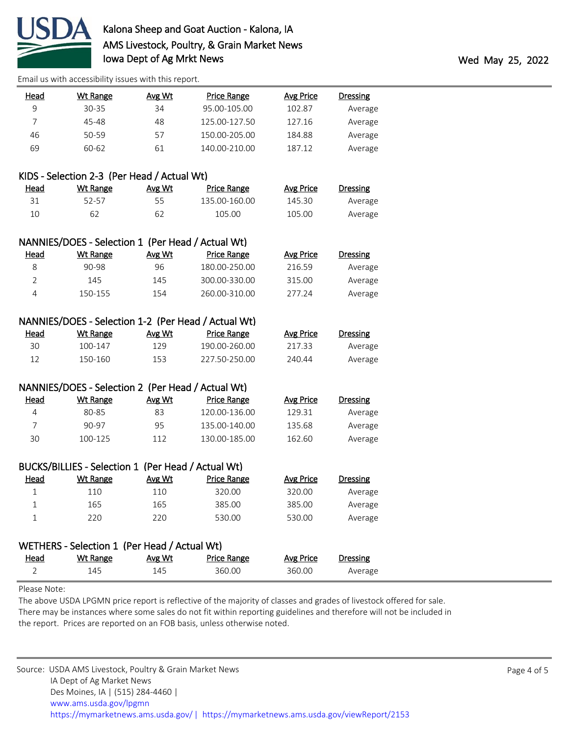

| <u>Head</u>    | <b>Wt Range</b>                                                      | Avg Wt | <b>Price Range</b>                                  | <b>Avg Price</b> | <b>Dressing</b> |  |
|----------------|----------------------------------------------------------------------|--------|-----------------------------------------------------|------------------|-----------------|--|
| 9              | 30-35                                                                | 34     | 95.00-105.00                                        | 102.87           | Average         |  |
| $\overline{7}$ | 45-48                                                                | 48     | 125.00-127.50                                       | 127.16           | Average         |  |
| 46             | 50-59                                                                | 57     | 150.00-205.00                                       | 184.88           | Average         |  |
| 69             | 60-62                                                                | 61     | 140.00-210.00                                       | 187.12           | Average         |  |
|                |                                                                      |        |                                                     |                  |                 |  |
|                | KIDS - Selection 2-3 (Per Head / Actual Wt)                          |        |                                                     |                  |                 |  |
| <u>Head</u>    | <b>Wt Range</b>                                                      | Avg Wt | <b>Price Range</b>                                  | <b>Avg Price</b> | <b>Dressing</b> |  |
| 31             | 52-57                                                                | 55     | 135.00-160.00                                       | 145.30           | Average         |  |
| 10             | 62                                                                   | 62     | 105.00                                              | 105.00           | Average         |  |
|                |                                                                      |        |                                                     |                  |                 |  |
| <u>Head</u>    | NANNIES/DOES - Selection 1 (Per Head / Actual Wt)<br><b>Wt Range</b> | Avg Wt | <u>Price Range</u>                                  | <b>Avg Price</b> | <b>Dressing</b> |  |
| 8              | 90-98                                                                | 96     | 180.00-250.00                                       | 216.59           | Average         |  |
| 2              | 145                                                                  | 145    | 300.00-330.00                                       | 315.00           | Average         |  |
| $\overline{4}$ | 150-155                                                              | 154    | 260.00-310.00                                       | 277.24           | Average         |  |
|                |                                                                      |        |                                                     |                  |                 |  |
|                |                                                                      |        | NANNIES/DOES - Selection 1-2 (Per Head / Actual Wt) |                  |                 |  |
| <b>Head</b>    | Wt Range                                                             | Avg Wt | <b>Price Range</b>                                  | <b>Avg Price</b> | <b>Dressing</b> |  |
| 30             | 100-147                                                              | 129    | 190.00-260.00                                       | 217.33           | Average         |  |
| 12             | 150-160                                                              | 153    | 227.50-250.00                                       | 240.44           | Average         |  |
|                |                                                                      |        |                                                     |                  |                 |  |
|                | NANNIES/DOES - Selection 2 (Per Head / Actual Wt)                    |        |                                                     |                  |                 |  |
| <u>Head</u>    | <b>Wt Range</b>                                                      | Avg Wt | <b>Price Range</b>                                  | <b>Avg Price</b> | <b>Dressing</b> |  |
| 4              | 80-85                                                                | 83     | 120.00-136.00                                       | 129.31           | Average         |  |
| 7              | 90-97                                                                | 95     | 135.00-140.00                                       | 135.68           | Average         |  |
| 30             | 100-125                                                              | 112    | 130.00-185.00                                       | 162.60           | Average         |  |
|                | BUCKS/BILLIES - Selection 1 (Per Head / Actual Wt)                   |        |                                                     |                  |                 |  |
| <b>Head</b>    | <b>Wt Range</b>                                                      | Avg Wt | <b>Price Range</b>                                  | <b>Avg Price</b> | <b>Dressing</b> |  |
| 1              | 110                                                                  | 110    | 320.00                                              | 320.00           | Average         |  |
| 1              | 165                                                                  | 165    | 385.00                                              | 385.00           | Average         |  |
| 1              | 220                                                                  | 220    | 530.00                                              | 530.00           | Average         |  |
|                |                                                                      |        |                                                     |                  |                 |  |
|                | WETHERS - Selection 1 (Per Head / Actual Wt)                         |        |                                                     |                  |                 |  |
| <u>Head</u>    | <b>Wt Range</b>                                                      | Avg Wt | <b>Price Range</b>                                  | <b>Avg Price</b> | <b>Dressing</b> |  |
| $\overline{2}$ | 145                                                                  | 145    | 360.00                                              | 360.00           | Average         |  |

Please Note:

The above USDA LPGMN price report is reflective of the majority of classes and grades of livestock offered for sale. There may be instances where some sales do not fit within reporting guidelines and therefore will not be included in the report. Prices are reported on an FOB basis, unless otherwise noted.